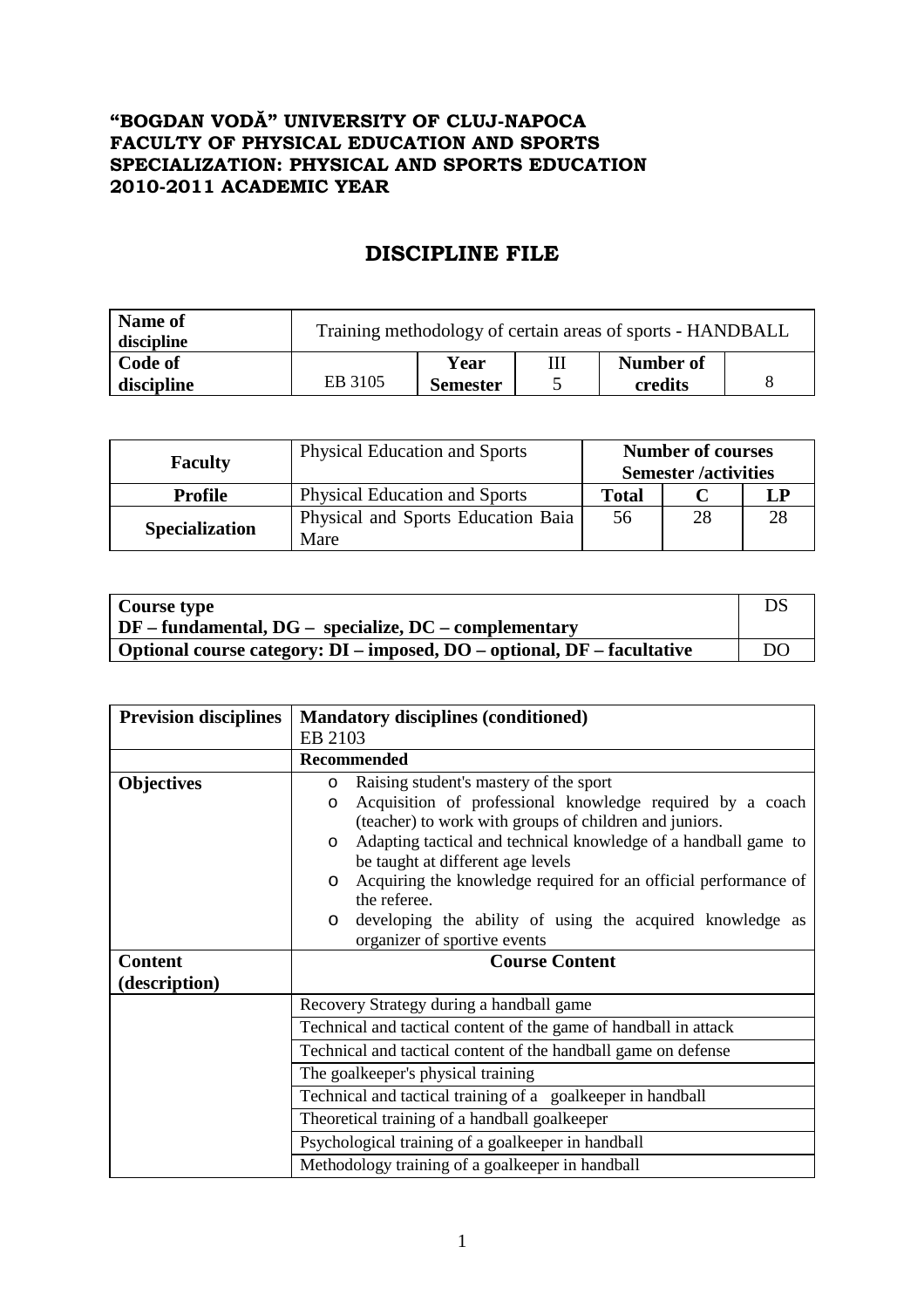## **"BOGDAN VODĂ" UNIVERSITY OF CLUJ-NAPOCA FACULTY OF PHYSICAL EDUCATION AND SPORTS SPECIALIZATION: PHYSICAL AND SPORTS EDUCATION 2010-2011 ACADEMIC YEAR**

## **DISCIPLINE FILE**

| Name of<br>discipline | Training methodology of certain areas of sports - HANDBALL |                 |  |           |  |
|-----------------------|------------------------------------------------------------|-----------------|--|-----------|--|
| Code of               |                                                            | Year            |  | Number of |  |
| discipline            | EB 3105                                                    | <b>Semester</b> |  | credits   |  |

| <b>Faculty</b>        | <b>Physical Education and Sports</b>       | <b>Number of courses</b><br><b>Semester</b> /activities |    |             |
|-----------------------|--------------------------------------------|---------------------------------------------------------|----|-------------|
| <b>Profile</b>        | <b>Physical Education and Sports</b>       | <b>Total</b>                                            |    | $L_{\rm I}$ |
| <b>Specialization</b> | Physical and Sports Education Baia<br>Mare | 56                                                      | 28 | 28          |

| Course type                                                             | DS |
|-------------------------------------------------------------------------|----|
| $\vert$ DF – fundamental, DG – specialize, DC – complementary           |    |
| Optional course category: DI – imposed, DO – optional, DF – facultative | DO |

| <b>Prevision disciplines</b> | <b>Mandatory disciplines (conditioned)</b>                                                                      |  |  |  |
|------------------------------|-----------------------------------------------------------------------------------------------------------------|--|--|--|
|                              | EB 2103                                                                                                         |  |  |  |
|                              | <b>Recommended</b>                                                                                              |  |  |  |
| <b>Objectives</b>            | Raising student's mastery of the sport<br>$\circ$                                                               |  |  |  |
|                              | Acquisition of professional knowledge required by a coach<br>$\circ$                                            |  |  |  |
|                              | (teacher) to work with groups of children and juniors.                                                          |  |  |  |
|                              | Adapting tactical and technical knowledge of a handball game to<br>$\circ$<br>be taught at different age levels |  |  |  |
|                              | Acquiring the knowledge required for an official performance of                                                 |  |  |  |
|                              | $\circ$<br>the referee.                                                                                         |  |  |  |
|                              | developing the ability of using the acquired knowledge as<br>$\circ$                                            |  |  |  |
|                              | organizer of sportive events                                                                                    |  |  |  |
| <b>Content</b>               | <b>Course Content</b>                                                                                           |  |  |  |
| (description)                |                                                                                                                 |  |  |  |
|                              | Recovery Strategy during a handball game                                                                        |  |  |  |
|                              | Technical and tactical content of the game of handball in attack                                                |  |  |  |
|                              | Technical and tactical content of the handball game on defense                                                  |  |  |  |
|                              | The goalkeeper's physical training                                                                              |  |  |  |
|                              | Technical and tactical training of a goalkeeper in handball                                                     |  |  |  |
|                              | Theoretical training of a handball goalkeeper                                                                   |  |  |  |
|                              | Psychological training of a goalkeeper in handball                                                              |  |  |  |
|                              | Methodology training of a goalkeeper in handball                                                                |  |  |  |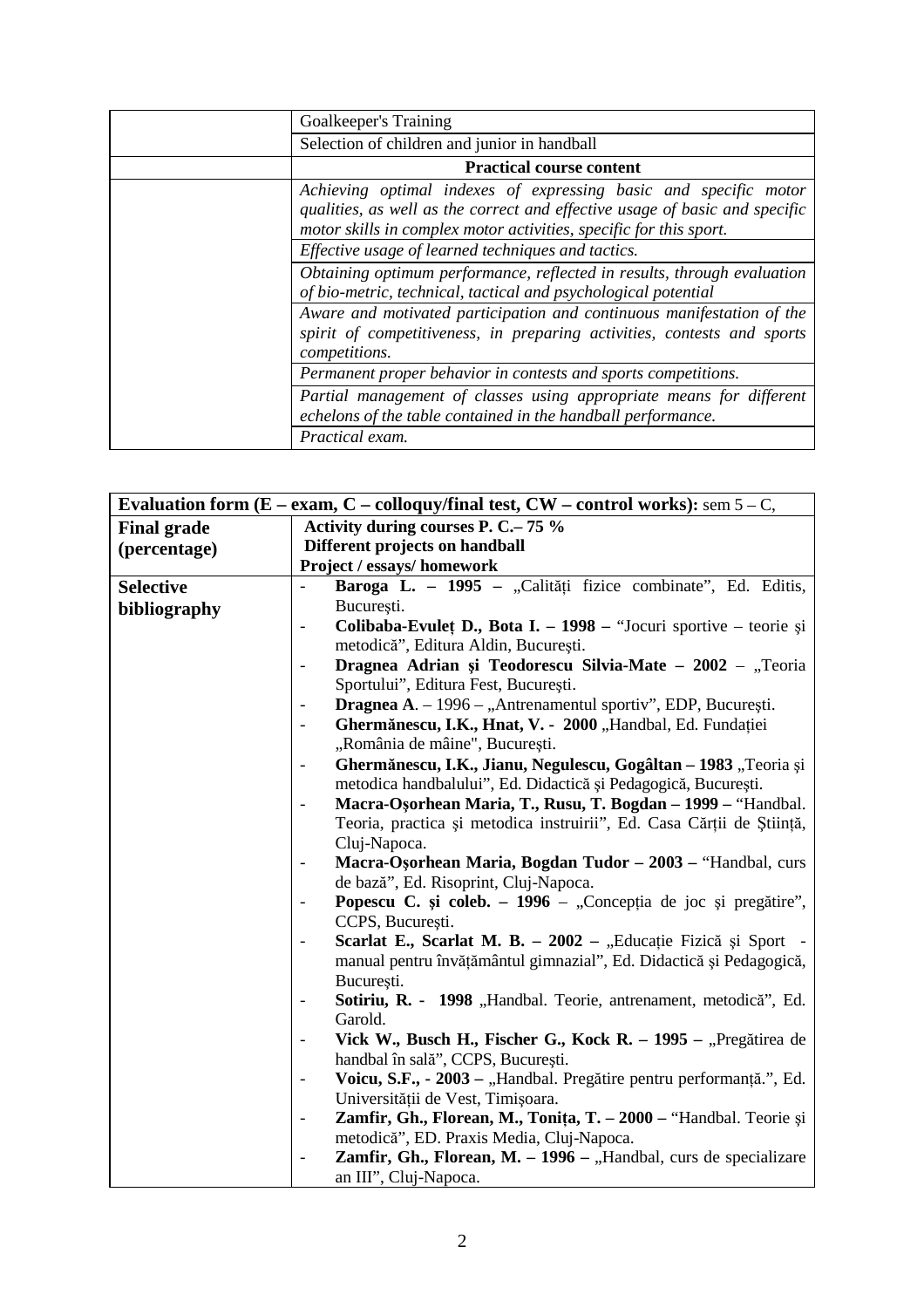| Goalkeeper's Training                                                                                                                                                                                                 |
|-----------------------------------------------------------------------------------------------------------------------------------------------------------------------------------------------------------------------|
| Selection of children and junior in handball                                                                                                                                                                          |
| <b>Practical course content</b>                                                                                                                                                                                       |
| Achieving optimal indexes of expressing basic and specific motor<br>qualities, as well as the correct and effective usage of basic and specific<br>motor skills in complex motor activities, specific for this sport. |
| Effective usage of learned techniques and tactics.                                                                                                                                                                    |
| Obtaining optimum performance, reflected in results, through evaluation<br>of bio-metric, technical, tactical and psychological potential                                                                             |
| Aware and motivated participation and continuous manifestation of the<br>spirit of competitiveness, in preparing activities, contests and sports<br>competitions.                                                     |
| Permanent proper behavior in contests and sports competitions.                                                                                                                                                        |
| Partial management of classes using appropriate means for different<br>echelons of the table contained in the handball performance.                                                                                   |
| Practical exam.                                                                                                                                                                                                       |

|                    | Evaluation form (E – exam, C – colloquy/final test, $CW$ – control works): sem 5 – C,               |  |  |  |
|--------------------|-----------------------------------------------------------------------------------------------------|--|--|--|
| <b>Final grade</b> | Activity during courses P. C.– 75 %                                                                 |  |  |  |
| (percentage)       | Different projects on handball                                                                      |  |  |  |
|                    | Project / essays/ homework                                                                          |  |  |  |
| <b>Selective</b>   | Baroga L. - 1995 - "Calități fizice combinate", Ed. Editis,                                         |  |  |  |
| bibliography       | București.                                                                                          |  |  |  |
|                    | Colibaba-Evulet D., Bota I. - 1998 - "Jocuri sportive - teorie și<br>$\overline{\phantom{a}}$       |  |  |  |
|                    | metodică", Editura Aldin, București.                                                                |  |  |  |
|                    | Dragnea Adrian și Teodorescu Silvia-Mate - 2002 - "Teoria<br>$\overline{\phantom{0}}$               |  |  |  |
|                    | Sportului", Editura Fest, București.                                                                |  |  |  |
|                    | Dragnea A. - 1996 - "Antrenamentul sportiv", EDP, București.                                        |  |  |  |
|                    | Ghermănescu, I.K., Hnat, V. - 2000 "Handbal, Ed. Fundației                                          |  |  |  |
|                    | "România de mâine", București.                                                                      |  |  |  |
|                    | Ghermănescu, I.K., Jianu, Negulescu, Gogâltan - 1983 "Teoria și<br>$\frac{1}{2}$                    |  |  |  |
|                    | metodica handbalului", Ed. Didactică și Pedagogică, București.                                      |  |  |  |
|                    | Macra-Osorhean Maria, T., Rusu, T. Bogdan - 1999 - "Handbal.                                        |  |  |  |
|                    | Teoria, practica și metodica instruirii", Ed. Casa Cărții de Știință,                               |  |  |  |
|                    | Cluj-Napoca.                                                                                        |  |  |  |
|                    | Macra-Osorhean Maria, Bogdan Tudor - 2003 - "Handbal, curs                                          |  |  |  |
|                    | de bază", Ed. Risoprint, Cluj-Napoca.                                                               |  |  |  |
|                    | Popescu C. și coleb. – 1996 – "Concepția de joc și pregătire",<br>$\qquad \qquad \blacksquare$      |  |  |  |
|                    | CCPS, București.                                                                                    |  |  |  |
|                    | Scarlat E., Scarlat M. B. - 2002 - "Educație Fizică și Sport -<br>$\overline{\phantom{a}}$          |  |  |  |
|                    | manual pentru învățământul gimnazial", Ed. Didactică și Pedagogică,                                 |  |  |  |
|                    | București.                                                                                          |  |  |  |
|                    | Sotiriu, R. - 1998 "Handbal. Teorie, antrenament, metodică", Ed.                                    |  |  |  |
|                    | Garold.                                                                                             |  |  |  |
|                    | Vick W., Busch H., Fischer G., Kock R. - 1995 - "Pregătirea de                                      |  |  |  |
|                    | handbal în sală", CCPS, București.                                                                  |  |  |  |
|                    | Voicu, S.F., - 2003 - "Handbal. Pregătire pentru performanță.", Ed.<br>$\qquad \qquad \blacksquare$ |  |  |  |
|                    | Universității de Vest, Timișoara.                                                                   |  |  |  |
|                    | Zamfir, Gh., Florean, M., Tonița, T. - 2000 - "Handbal. Teorie și<br>$\frac{1}{2}$                  |  |  |  |
|                    | metodică", ED. Praxis Media, Cluj-Napoca.                                                           |  |  |  |
|                    | Zamfir, Gh., Florean, M. - 1996 - "Handbal, curs de specializare                                    |  |  |  |
|                    | an III", Cluj-Napoca.                                                                               |  |  |  |